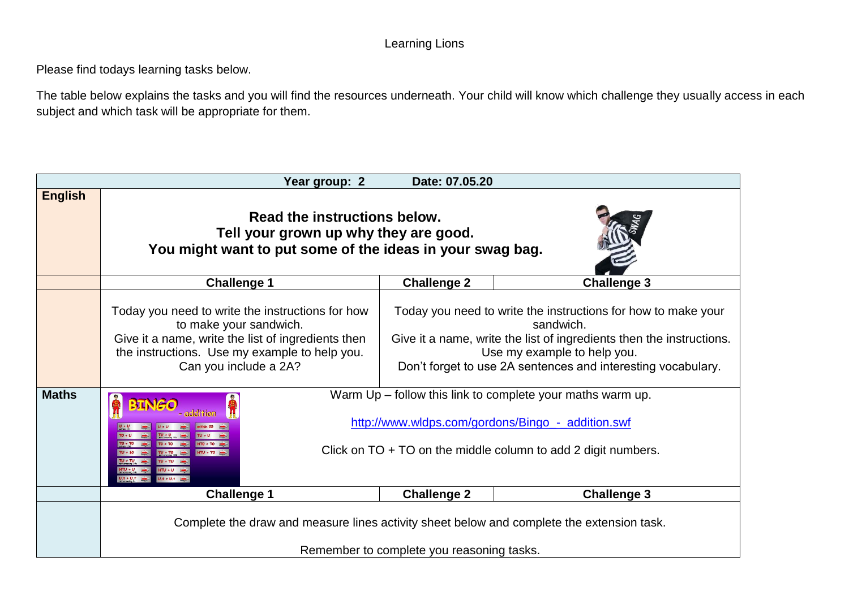### Learning Lions

Please find todays learning tasks below.

The table below explains the tasks and you will find the resources underneath. Your child will know which challenge they usually access in each subject and which task will be appropriate for them.

| Date: 07.05.20<br>Year group: 2 |                                                                                                                                                                                                                                    |                    |                                                                                                                                                                                                                                                   |
|---------------------------------|------------------------------------------------------------------------------------------------------------------------------------------------------------------------------------------------------------------------------------|--------------------|---------------------------------------------------------------------------------------------------------------------------------------------------------------------------------------------------------------------------------------------------|
| <b>English</b>                  | Read the instructions below.<br>Tell your grown up why they are good.<br>You might want to put some of the ideas in your swag bag.                                                                                                 |                    |                                                                                                                                                                                                                                                   |
|                                 | <b>Challenge 1</b>                                                                                                                                                                                                                 | <b>Challenge 2</b> | <b>Challenge 3</b>                                                                                                                                                                                                                                |
|                                 | Today you need to write the instructions for how<br>to make your sandwich.<br>Give it a name, write the list of ingredients then<br>the instructions. Use my example to help you.<br>Can you include a 2A?                         |                    | Today you need to write the instructions for how to make your<br>sandwich.<br>Give it a name, write the list of ingredients then the instructions.<br>Use my example to help you.<br>Don't forget to use 2A sentences and interesting vocabulary. |
| <b>Maths</b>                    | Warm Up – follow this link to complete your maths warm up.<br>http://www.wldps.com/gordons/Bingo - addition.swf<br>Click on $TO + TO$ on the middle column to add 2 digit numbers.<br>$TV \cdot TO$<br>$U.t + U.t.$<br>$1.1 + 0.1$ |                    |                                                                                                                                                                                                                                                   |
|                                 | <b>Challenge 1</b>                                                                                                                                                                                                                 | <b>Challenge 2</b> | <b>Challenge 3</b>                                                                                                                                                                                                                                |
|                                 | Complete the draw and measure lines activity sheet below and complete the extension task.<br>Remember to complete you reasoning tasks.                                                                                             |                    |                                                                                                                                                                                                                                                   |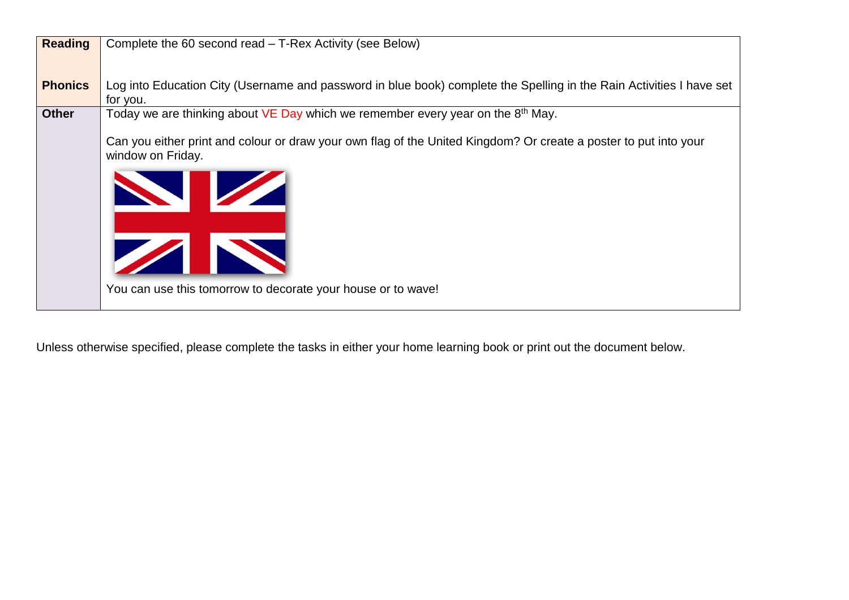| <b>Reading</b> | Complete the 60 second read – T-Rex Activity (see Below)                                                             |  |  |
|----------------|----------------------------------------------------------------------------------------------------------------------|--|--|
|                |                                                                                                                      |  |  |
|                |                                                                                                                      |  |  |
|                |                                                                                                                      |  |  |
| <b>Phonics</b> | Log into Education City (Username and password in blue book) complete the Spelling in the Rain Activities I have set |  |  |
|                | for you.                                                                                                             |  |  |
| <b>Other</b>   | Today we are thinking about $VE$ Day which we remember every year on the $8th$ May.                                  |  |  |
|                |                                                                                                                      |  |  |
|                | Can you either print and colour or draw your own flag of the United Kingdom? Or create a poster to put into your     |  |  |
|                |                                                                                                                      |  |  |
|                | window on Friday.                                                                                                    |  |  |
|                |                                                                                                                      |  |  |
|                |                                                                                                                      |  |  |
|                | <b>STATE</b>                                                                                                         |  |  |
|                |                                                                                                                      |  |  |
|                |                                                                                                                      |  |  |
|                |                                                                                                                      |  |  |
|                |                                                                                                                      |  |  |
|                | $\sqrt{2}$                                                                                                           |  |  |
|                |                                                                                                                      |  |  |
|                |                                                                                                                      |  |  |
|                | You can use this tomorrow to decorate your house or to wave!                                                         |  |  |
|                |                                                                                                                      |  |  |
|                |                                                                                                                      |  |  |

Unless otherwise specified, please complete the tasks in either your home learning book or print out the document below.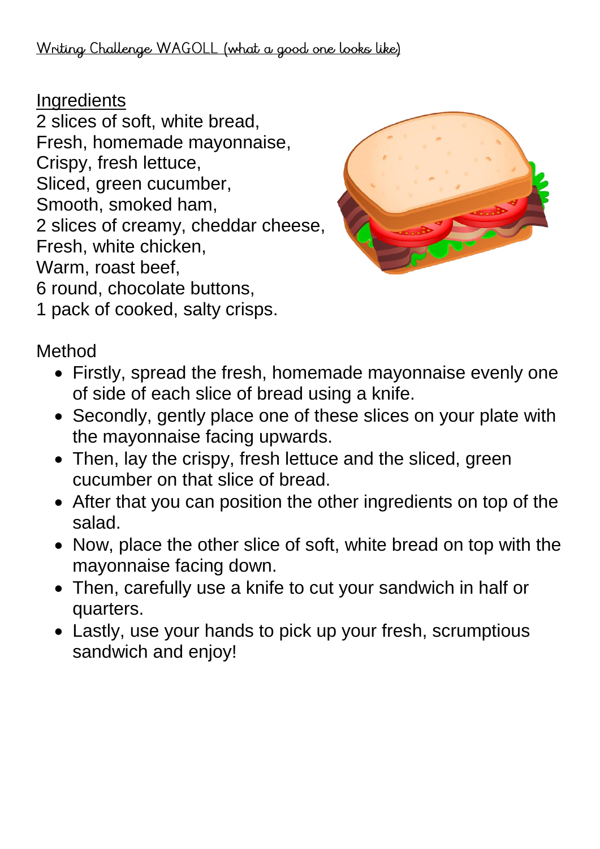**Ingredients** 

2 slices of soft, white bread, Fresh, homemade mayonnaise, Crispy, fresh lettuce, Sliced, green cucumber, Smooth, smoked ham, 2 slices of creamy, cheddar cheese, Fresh, white chicken, Warm, roast beef, 6 round, chocolate buttons,



1 pack of cooked, salty crisps.

Method

- Firstly, spread the fresh, homemade mayonnaise evenly one of side of each slice of bread using a knife.
- Secondly, gently place one of these slices on your plate with the mayonnaise facing upwards.
- Then, lay the crispy, fresh lettuce and the sliced, green cucumber on that slice of bread.
- After that you can position the other ingredients on top of the salad.
- Now, place the other slice of soft, white bread on top with the mayonnaise facing down.
- Then, carefully use a knife to cut your sandwich in half or quarters.
- Lastly, use your hands to pick up your fresh, scrumptious sandwich and enjoy!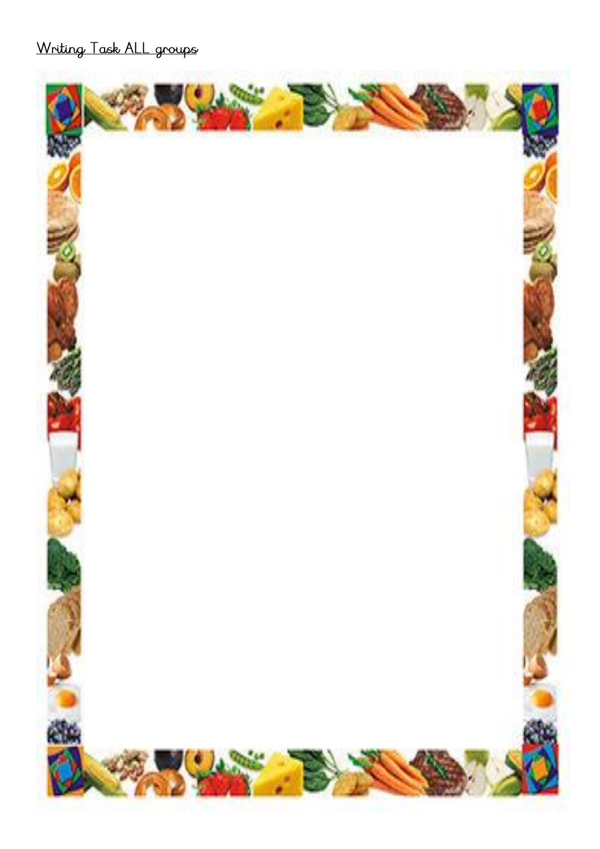Writing Task ALL groups

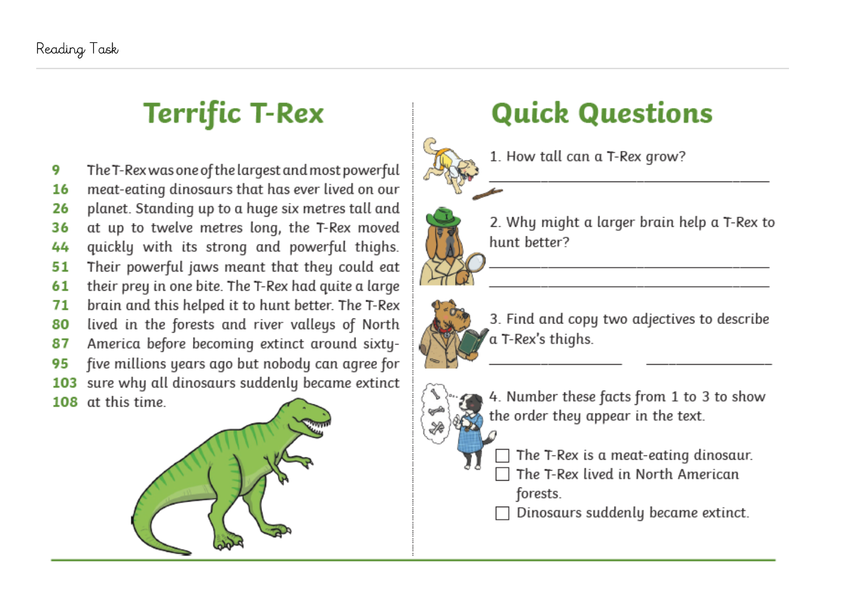## **Terrific T-Rex**

The T-Rex was one of the largest and most powerful 9 meat-eating dinosaurs that has ever lived on our 16 planet. Standing up to a huge six metres tall and 26 36 at up to twelve metres long, the T-Rex moved quickly with its strong and powerful thighs. 44 Their powerful jaws meant that they could eat 51 their prey in one bite. The T-Rex had quite a large 61 brain and this helped it to hunt better. The T-Rex 71 lived in the forests and river valleys of North 80 America before becoming extinct around sixty-87 95 five millions years ago but nobody can agree for 103 sure why all dinosaurs suddenly became extinct 108 at this time



# **Quick Questions**

1. How tall can a T-Rex grow?



- 2. Why might a larger brain help a T-Rex to hunt better?
- 3. Find and copy two adjectives to describe a T-Rex's thighs.



- 4. Number these facts from 1 to 3 to show the order they appear in the text.
	- The T-Rex is a meat-eating dinosaur. The T-Rex lived in North American forests.

Dinosaurs suddenly became extinct.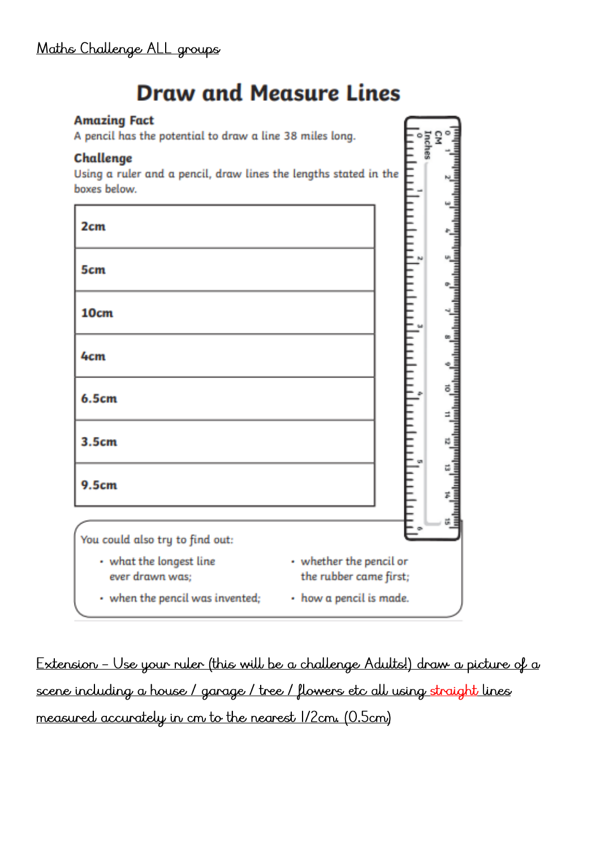## **Draw and Measure Lines**

CN<br>Inches<br>J

### **Amazing Fact**

A pencil has the potential to draw a line 38 miles long.

### Challenge

Using a ruler and a pencil, draw lines the lengths stated in the boxes below.



Extension - Use your ruler (this will be a challenge Adults!) draw a picture of a scene including a house / garage / tree / flowers etc all using straight lines measured accurately in cm to the nearest 1/2cm. (0.5cm)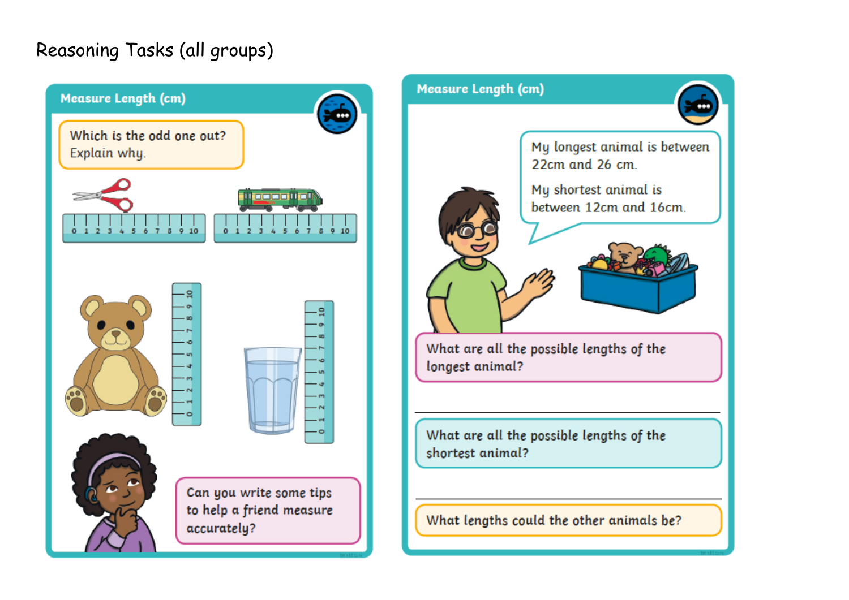### Reasoning Tasks (all groups)